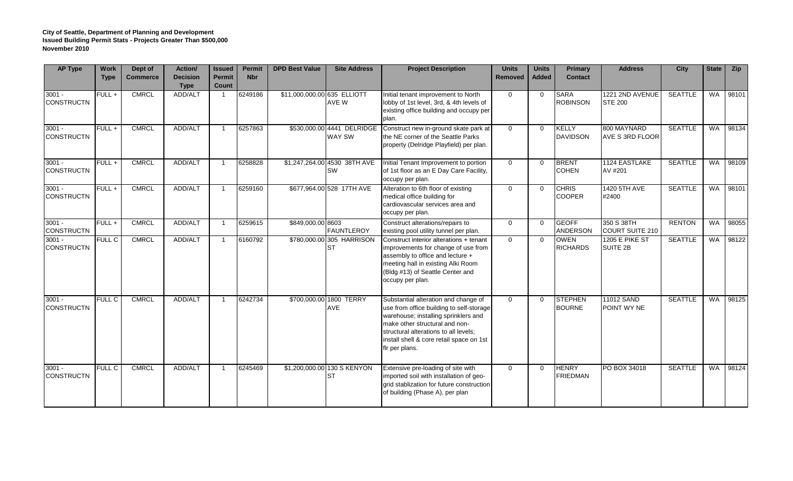## **City of Seattle, Department of Planning and Development Issued Building Permit Stats - Projects Greater Than \$500,000 November 2010**

| <b>AP Type</b>                | <b>Work</b><br><b>Type</b> | Dept of<br><b>Commerce</b> | Action/<br><b>Decision</b><br><b>Type</b> | <b>Issued</b><br><b>Permit</b><br>Count | <b>Permit</b><br><b>Nbr</b> | <b>DPD Best Value</b>       | <b>Site Address</b>                       | <b>Project Description</b>                                                                                                                                                                                                                                        | <b>Units</b><br><b>Removed</b> | <b>Units</b><br><b>Added</b> | Primary<br><b>Contact</b>       | <b>Address</b>                       | <b>City</b>    | <b>State</b> | Zip   |
|-------------------------------|----------------------------|----------------------------|-------------------------------------------|-----------------------------------------|-----------------------------|-----------------------------|-------------------------------------------|-------------------------------------------------------------------------------------------------------------------------------------------------------------------------------------------------------------------------------------------------------------------|--------------------------------|------------------------------|---------------------------------|--------------------------------------|----------------|--------------|-------|
| $3001 -$<br><b>CONSTRUCTN</b> | FULL+                      | <b>CMRCL</b>               | ADD/ALT                                   |                                         | 6249186                     | \$11,000,000.00 635 ELLIOTT | AVE W                                     | Initial tenant improvement to North<br>lobby of 1st level, 3rd, & 4th levels of<br>existing office building and occupy per<br>plan.                                                                                                                               | $\Omega$                       | $\Omega$                     | <b>SARA</b><br><b>ROBINSON</b>  | 1221 2ND AVENUE<br><b>STE 200</b>    | <b>SEATTLE</b> | <b>WA</b>    | 98101 |
| $3001 -$<br><b>CONSTRUCTN</b> | FULL+                      | <b>CMRCL</b>               | ADD/ALT                                   | $\mathbf{1}$                            | 6257863                     |                             | \$530,000.00 4441 DELRIDGE<br>WAY SW      | Construct new in-ground skate park at<br>the NE corner of the Seattle Parks<br>property (Delridge Playfield) per plan.                                                                                                                                            | $\Omega$                       | $\Omega$                     | <b>KELLY</b><br><b>DAVIDSON</b> | 800 MAYNARD<br>AVE S 3RD FLOOR       | <b>SEATTLE</b> | <b>WA</b>    | 98134 |
| $3001 -$<br><b>CONSTRUCTN</b> | FULL +                     | <b>CMRCL</b>               | ADD/ALT                                   | $\mathbf{1}$                            | 6258828                     |                             | \$1,247,264.00 4530 38TH AVE<br><b>SW</b> | Initial Tenant Improvement to portion<br>of 1st floor as an E Day Care Facility,<br>occupy per plan.                                                                                                                                                              | $\Omega$                       | $\Omega$                     | <b>BRENT</b><br><b>COHEN</b>    | 1124 EASTLAKE<br>AV #201             | <b>SEATTLE</b> | WA           | 98109 |
| $3001 -$<br><b>CONSTRUCTN</b> | FULL+                      | <b>CMRCL</b>               | ADD/ALT                                   | $\mathbf{1}$                            | 6259160                     |                             | \$677,964.00 528 17TH AVE                 | Alteration to 6th floor of existing<br>medical office building for<br>cardiovascular services area and<br>occupy per plan.                                                                                                                                        | $\overline{0}$                 | $\Omega$                     | <b>CHRIS</b><br><b>COOPER</b>   | 1420 5TH AVE<br>#2400                | <b>SEATTLE</b> | <b>WA</b>    | 98101 |
| $3001 -$<br><b>CONSTRUCTN</b> | FULL+                      | <b>CMRCL</b>               | ADD/ALT                                   | $\mathbf{1}$                            | 6259615                     | \$849,000.00 8603           | <b>FAUNTLEROY</b>                         | Construct alterations/repairs to<br>existing pool utility tunnel per plan.                                                                                                                                                                                        | $\overline{0}$                 | $\Omega$                     | <b>GEOFF</b><br><b>ANDERSON</b> | 350 S 38TH<br><b>COURT SUITE 210</b> | <b>RENTON</b>  | <b>WA</b>    | 98055 |
| $3001 -$<br><b>CONSTRUCTN</b> | <b>FULL C</b>              | <b>CMRCL</b>               | ADD/ALT                                   | $\mathbf{1}$                            | 6160792                     |                             | \$780,000.00 305 HARRISON<br><b>ST</b>    | Construct interior alterations + tenant<br>improvements for change of use from<br>assembly to office and lecture +<br>meeting hall in existing Alki Room<br>(Bldg #13) of Seattle Center and<br>occupy per plan.                                                  | $\Omega$                       | $\Omega$                     | <b>OWEN</b><br><b>RICHARDS</b>  | <b>1205 E PIKE ST</b><br>SUITE 2B    | <b>SEATTLE</b> | WA           | 98122 |
| $3001 -$<br><b>CONSTRUCTN</b> | <b>FULL C</b>              | <b>CMRCL</b>               | ADD/ALT                                   | $\mathbf{1}$                            | 6242734                     |                             | \$700,000.00 1800 TERRY<br>AVE            | Substantial alteration and change of<br>use from office building to self-storage<br>warehouse; installing sprinklers and<br>make other structural and non-<br>structural alterations to all levels:<br>install shell & core retail space on 1st<br>fir per plans. | $\Omega$                       | $\Omega$                     | <b>STEPHEN</b><br><b>BOURNE</b> | 11012 SAND<br>POINT WY NE            | <b>SEATTLE</b> | <b>WA</b>    | 98125 |
| $3001 -$<br><b>CONSTRUCTN</b> | <b>FULL C</b>              | <b>CMRCL</b>               | ADD/ALT                                   | $\mathbf{1}$                            | 6245469                     |                             | \$1,200,000.00 130 S KENYON<br><b>ST</b>  | Extensive pre-loading of site with<br>imported soil with installation of geo-<br>grid stablization for future construction<br>of building (Phase A), per plan                                                                                                     | $\Omega$                       | $\Omega$                     | <b>HENRY</b><br><b>FRIEDMAN</b> | PO BOX 34018                         | <b>SEATTLE</b> | <b>WA</b>    | 98124 |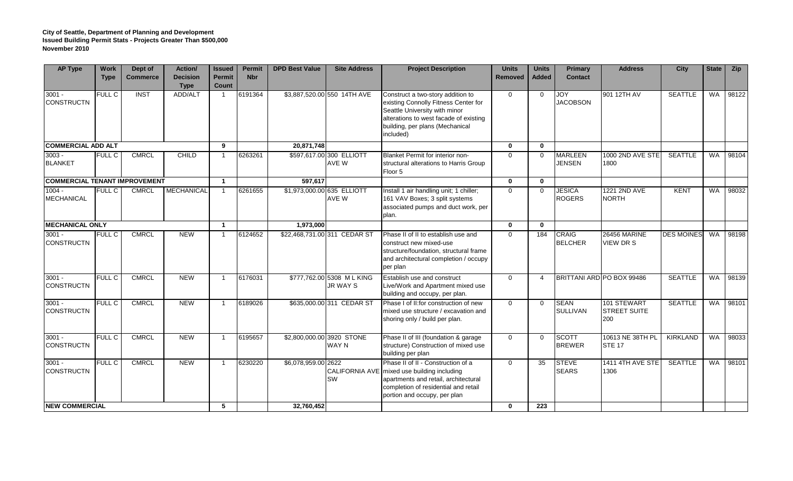## **City of Seattle, Department of Planning and Development Issued Building Permit Stats - Projects Greater Than \$500,000 November 2010**

| <b>AP Type</b>                                         | <b>Work</b><br><b>Type</b> | Dept of<br><b>Commerce</b> | Action/<br><b>Decision</b><br><b>Type</b> | <b>Issued</b><br><b>Permit</b><br>Count | <b>Permit</b><br><b>Nbr</b> | <b>DPD Best Value</b>             | <b>Site Address</b>                          | <b>Project Description</b>                                                                                                                                                                           | <b>Units</b><br><b>Removed</b> | <b>Units</b><br><b>Added</b> | Primary<br><b>Contact</b>       | <b>Address</b>                            | City              | <b>State</b> | Zip   |
|--------------------------------------------------------|----------------------------|----------------------------|-------------------------------------------|-----------------------------------------|-----------------------------|-----------------------------------|----------------------------------------------|------------------------------------------------------------------------------------------------------------------------------------------------------------------------------------------------------|--------------------------------|------------------------------|---------------------------------|-------------------------------------------|-------------------|--------------|-------|
| $3001 -$<br><b>CONSTRUCTN</b>                          | <b>FULL C</b>              | <b>INST</b>                | ADD/ALT                                   |                                         | 6191364                     |                                   | \$3,887,520.00 550 14TH AVE                  | Construct a two-story addition to<br>existing Connolly Fitness Center for<br>Seattle University with minor<br>alterations to west facade of existing<br>building, per plans (Mechanical<br>included) | $\overline{0}$                 | $\Omega$                     | JOY<br><b>JACOBSON</b>          | 901 12TH AV                               | <b>SEATTLE</b>    | <b>WA</b>    | 98122 |
| <b>COMMERCIAL ADD ALT</b>                              |                            |                            |                                           | 9                                       |                             | 20,871,748                        |                                              |                                                                                                                                                                                                      | $\mathbf{0}$                   | $\mathbf{0}$                 |                                 |                                           |                   |              |       |
| $3003 -$<br><b>BLANKET</b>                             | <b>FULL C</b>              | <b>CMRCL</b>               | <b>CHILD</b>                              |                                         | 6263261                     |                                   | \$597,617.00 300 ELLIOTT<br>AVE W            | Blanket Permit for interior non-<br>structural alterations to Harris Group<br>Floor 5                                                                                                                | $\Omega$                       | $\Omega$                     | <b>MARLEEN</b><br><b>JENSEN</b> | 1000 2ND AVE STE<br>1800                  | <b>SEATTLE</b>    | <b>WA</b>    | 98104 |
| <b>COMMERCIAL TENANT IMPROVEMENT</b>                   |                            |                            |                                           | $\blacktriangleleft$                    |                             | 597,617                           |                                              |                                                                                                                                                                                                      | $\mathbf 0$                    | $\bf{0}$                     |                                 |                                           |                   |              |       |
| $1004 -$<br><b>MECHANICAL</b>                          | <b>FULL C</b>              | <b>CMRCL</b>               | <b>MECHANICAL</b>                         | $\overline{1}$                          | 6261655                     | \$1,973,000.00 635 ELLIOTT        | AVE W                                        | Install 1 air handling unit; 1 chiller;<br>161 VAV Boxes; 3 split systems<br>associated pumps and duct work, per<br>plan.                                                                            | $\Omega$                       | $\Omega$                     | <b>JESICA</b><br><b>ROGERS</b>  | 1221 2ND AVE<br><b>NORTH</b>              | <b>KENT</b>       | <b>WA</b>    | 98032 |
| <b>MECHANICAL ONLY</b>                                 |                            |                            | $\overline{1}$                            |                                         | 1.973.000                   |                                   |                                              | $\mathbf{0}$                                                                                                                                                                                         | $\mathbf{0}$                   |                              |                                 |                                           |                   |              |       |
| $3001 -$<br><b>CONSTRUCTN</b>                          | <b>FULL C</b>              | <b>CMRCL</b>               | <b>NEW</b>                                | $\overline{1}$                          | 6124652                     |                                   | \$22,468,731.00 311 CEDAR ST                 | Phase II of II to establish use and<br>construct new mixed-use<br>structure/foundation, structural frame<br>and architectural completion / occupy<br>per plan                                        | $\Omega$                       | 184                          | <b>CRAIG</b><br><b>BELCHER</b>  | <b>26456 MARINE</b><br><b>VIEW DR S</b>   | <b>DES MOINES</b> | WA           | 98198 |
| $3001 -$<br><b>CONSTRUCTN</b>                          | <b>FULL C</b>              | <b>CMRCL</b>               | <b>NEW</b>                                | $\overline{\mathbf{1}}$                 | 6176031                     |                                   | \$777,762.00 5308 ML KING<br><b>JR WAY S</b> | Establish use and construct<br>Live/Work and Apartment mixed use<br>building and occupy, per plan.                                                                                                   | $\Omega$                       | $\boldsymbol{\Delta}$        |                                 | BRITTANI ARD PO BOX 99486                 | <b>SEATTLE</b>    | <b>WA</b>    | 98139 |
| $3001 -$<br><b>CONSTRUCTN</b>                          | <b>FULL C</b>              | <b>CMRCL</b>               | <b>NEW</b>                                | $\overline{1}$                          | 6189026                     |                                   | \$635,000.00 311 CEDAR ST                    | Phase I of II: for construction of new<br>mixed use structure / excavation and<br>shoring only / build per plan.                                                                                     | $\Omega$                       | $\Omega$                     | <b>SEAN</b><br><b>SULLIVAN</b>  | 101 STEWART<br><b>STREET SUITE</b><br>200 | <b>SEATTLE</b>    | <b>WA</b>    | 98101 |
| $3001 -$<br><b>CONSTRUCTN</b>                          | <b>FULL C</b>              | <b>CMRCL</b>               | <b>NEW</b>                                | $\overline{1}$                          | 6195657                     |                                   | \$2,800,000.00 3920 STONE<br><b>WAY N</b>    | Phase II of III (foundation & garage<br>structure) Construction of mixed use<br>building per plan                                                                                                    | $\Omega$                       | $\Omega$                     | <b>SCOTT</b><br><b>BREWER</b>   | 10613 NE 38TH PL<br><b>STE 17</b>         | <b>KIRKLAND</b>   | WA           | 98033 |
| $3001 -$<br><b>CONSTRUCTN</b><br><b>NEW COMMERCIAL</b> | <b>FULL C</b>              | <b>CMRCL</b>               | <b>NEW</b>                                | $\overline{1}$<br>5                     | 6230220                     | \$6,078,959.00 2622<br>32,760,452 | <b>SW</b>                                    | Phase II of II - Construction of a<br>CALIFORNIA AVE mixed use building including<br>apartments and retail, architectural<br>completion of residential and retail<br>portion and occupy, per plan    | $\Omega$                       | 35<br>223                    | <b>STEVE</b><br><b>SEARS</b>    | <b>1411 4TH AVE STE</b><br>1306           | <b>SEATTLE</b>    | WA           | 98101 |
|                                                        |                            |                            |                                           |                                         |                             |                                   |                                              | $\mathbf{0}$                                                                                                                                                                                         |                                |                              |                                 |                                           |                   |              |       |